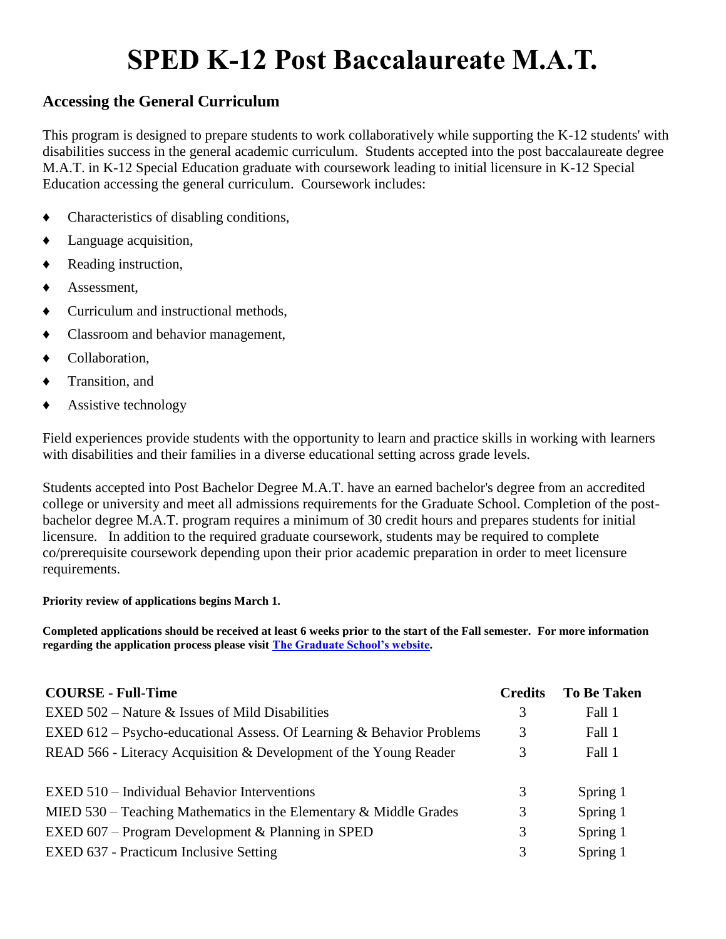## **SPED K-12 Post Baccalaureate M.A.T.**

## **Accessing the General Curriculum**

This program is designed to prepare students to work collaboratively while supporting the K-12 students' with disabilities success in the general academic curriculum. Students accepted into the post baccalaureate degree M.A.T. in K-12 Special Education graduate with coursework leading to initial licensure in K-12 Special Education accessing the general curriculum. Coursework includes:

- ♦ Characteristics of disabling conditions,
- ♦ Language acquisition,
- ♦ Reading instruction,
- Assessment,
- Curriculum and instructional methods,
- Classroom and behavior management,
- ♦ Collaboration,
- ♦ Transition, and
- ♦ Assistive technology

Field experiences provide students with the opportunity to learn and practice skills in working with learners with disabilities and their families in a diverse educational setting across grade levels.

Students accepted into Post Bachelor Degree M.A.T. have an earned bachelor's degree from an accredited college or university and meet all admissions requirements for the Graduate School. Completion of the postbachelor degree M.A.T. program requires a minimum of 30 credit hours and prepares students for initial licensure. In addition to the required graduate coursework, students may be required to complete co/prerequisite coursework depending upon their prior academic preparation in order to meet licensure requirements.

## **Priority review of applications begins March 1.**

**Completed applications should be received at least 6 weeks prior to the start of the Fall semester. For more information regarding the application process please visit [The Graduate School's website.](http://www.jmu.edu/grad/)**

| <b>COURSE - Full-Time</b>                                             | <b>Credits</b> | <b>To Be Taken</b> |
|-----------------------------------------------------------------------|----------------|--------------------|
| EXED $502$ – Nature & Issues of Mild Disabilities                     | 3              | Fall 1             |
| EXED 612 – Psycho-educational Assess. Of Learning & Behavior Problems | 3              | Fall 1             |
| READ 566 - Literacy Acquisition & Development of the Young Reader     | 3              | Fall 1             |
|                                                                       |                |                    |
| EXED 510 – Individual Behavior Interventions                          | 3              | Spring 1           |
| MIED $530$ – Teaching Mathematics in the Elementary & Middle Grades   | 3              | Spring 1           |
| EXED $607$ – Program Development & Planning in SPED                   | 3              | Spring 1           |
| EXED 637 - Practicum Inclusive Setting                                | 3              | Spring 1           |